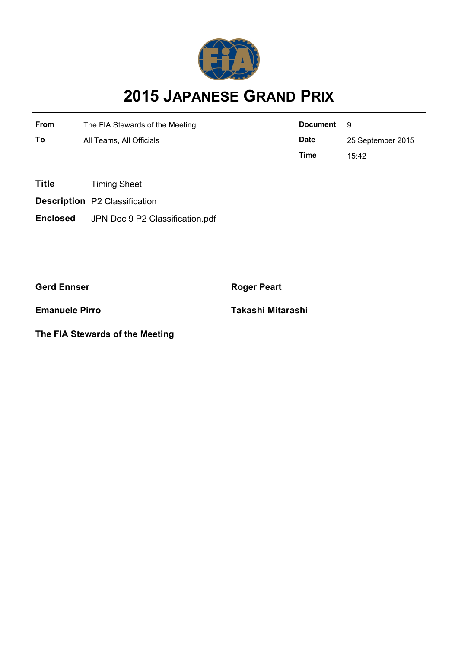

## **2015 JAPANESE GRAND PRIX**

| <b>From</b> | The FIA Stewards of the Meeting | Document    | - 9               |  |
|-------------|---------------------------------|-------------|-------------------|--|
| То          | All Teams, All Officials        | <b>Date</b> | 25 September 2015 |  |
|             |                                 | Time        | 15:42             |  |

**Title** Timing Sheet

**Description** P2 Classification

**Enclosed** JPN Doc 9 P2 Classification.pdf

**Gerd Ennser Roger Peart** 

**The FIA Stewards of the Meeting**

**Emanuele Pirro Takashi Mitarashi**